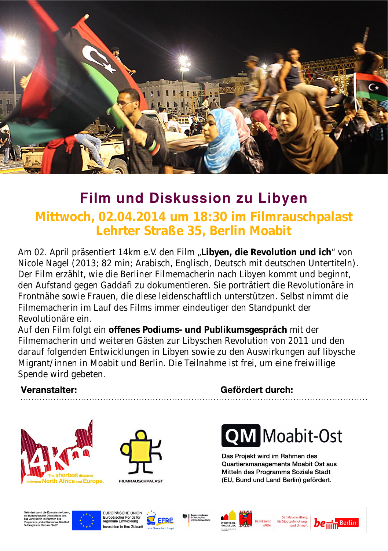

## **Film und Diskussion zu Libyen**

**Mittwoch, 02.04.2014 um 18:30 im Filmrauschpalast Lehrter Straße 35, Berlin Moabit**

Am 02. April präsentiert 14km e.V. den Film "**Libyen, die Revolution und ich**" von Nicole Nagel (2013; 82 min; Arabisch, Englisch, Deutsch mit deutschen Untertiteln). Der Film erzählt, wie die Berliner Filmemacherin nach Libyen kommt und beginnt, den Aufstand gegen Gaddafi zu dokumentieren. Sie porträtiert die Revolutionäre in Frontnähe sowie Frauen, die diese leidenschaftlich unterstützen. Selbst nimmt die Filmemacherin im Lauf des Films immer eindeutiger den Standpunkt der Revolutionäre ein.

Auf den Film folgt ein **offenes Podiums und Publikumsgespräch** mit der Filmemacherin und weiteren Gästen zur Libyschen Revolution von 2011 und den darauf folgenden Entwicklungen in Libyen sowie zu den Auswirkungen auf libysche Migrant/innen in Moabit und Berlin. Die Teilnahme ist frei, um eine freiwillige Spende wird gebeten.

#### Veranstalter:





**FILMRALISCHPALAST** 

#### Gefördert durch:



Das Projekt wird im Rahmen des Quartiersmanagements Moabit Ost aus Mittein des Programms Soziale Stadt (EU, Bund und Land Berlin) gefördert.